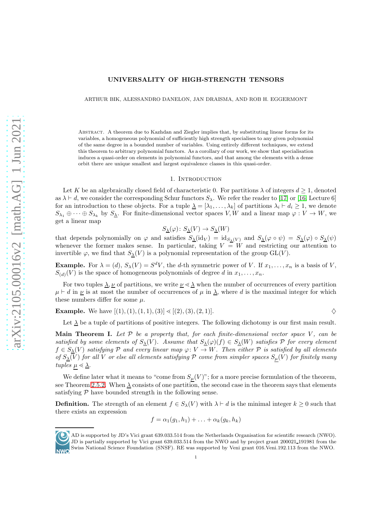#### UNIVERSALITY OF HIGH-STRENGTH TENSORS

ARTHUR BIK, ALESSANDRO DANELON, JAN DRAISMA, AND ROB H. EGGERMONT

Abstract. A theorem due to Kazhdan and Ziegler implies that, by substituting linear forms for its variables, a homogeneous polynomial of sufficiently high strength specialises to any given polynomial of the same degree in a bounded number of variables. Using entirely different techniques, we extend this theorem to arbitrary polynomial functors. As a corollary of our work, we show that specialisation induces a quasi-order on elements in polynomial functors, and that among the elements with a dense orbit there are unique smallest and largest equivalence classes in this quasi-order.

#### 1. INTRODUCTION

Let K be an algebraically closed field of characteristic 0. For partitions  $\lambda$  of integers  $d \geq 1$ , denoted as  $\lambda \vdash d$ , we consider the corresponding Schur functors  $S_{\lambda}$ . We refer the reader to [\[17\]](#page-18-0) or [\[16,](#page-18-1) Lecture 6] for an introduction to these objects. For a tuple  $\lambda = [\lambda_1, \ldots, \lambda_k]$  of partitions  $\lambda_i \vdash d_i \geq 1$ , we denote  $S_{\lambda_1} \oplus \cdots \oplus S_{\lambda_k}$  by  $S_{\underline{\lambda}}$ . For finite-dimensional vector spaces V, W and a linear map  $\varphi: V \to W$ , we get a linear map

$$
S_{\underline{\lambda}}(\varphi) \colon S_{\underline{\lambda}}(V) \to S_{\underline{\lambda}}(W)
$$

that depends polynomially on  $\varphi$  and satisfies  $S_{\underline{\lambda}}(\mathrm{id}_V) = \mathrm{id}_{S_{\lambda}(V)}$  and  $S_{\underline{\lambda}}(\varphi \circ \psi) = S_{\underline{\lambda}}(\varphi) \circ S_{\underline{\lambda}}(\psi)$ whenever the former makes sense. In particular, taking  $V = W$  and restricting our attention to invertible  $\varphi$ , we find that  $S_\lambda(V)$  is a polynomial representation of the group  $GL(V)$ .

**Example.** For  $\lambda = (d)$ ,  $S_{\lambda}(V) = S^{d}V$ , the d-th symmetric power of V. If  $x_1, \ldots, x_n$  is a basis of V,  $S_{(d)}(V)$  is the space of homogeneous polynomials of degree d in  $x_1, \ldots, x_n$ .

For two tuples  $\Delta, \underline{\nu}$  of partitions, we write  $\underline{\nu} \ll \underline{\lambda}$  when the number of occurrences of every partition  $\mu \vdash d$  in  $\underline{\nu}$  is at most the number of occurrences of  $\mu$  in  $\underline{\lambda}$ , where d is the maximal integer for which these numbers differ for some  $\mu$ .

**Example.** We have  $[(1), (1), (1, 1), (3)] \leq [(2), (3), (2, 1)].$ 

Let  $\Delta$  be a tuple of partitions of positive integers. The following dichotomy is our first main result.

**Main Theorem I.** Let  $P$  be a property that, for each finite-dimensional vector space  $V$ , can be satisfied by some elements of  $S_\Delta(V)$ . Assume that  $S_\Delta(\varphi)(f) \in S_\Delta(W)$  satisfies  $\mathcal P$  for every element  $f \in S_{\underline{\lambda}}(V)$  satisfying P and every linear map  $\varphi: V \to W$ . Then either P is satisfied by all elements of  $S_\Delta(V)$  for all V or else all elements satisfying P come from simpler spaces  $S_\mu(V)$  for finitely many tuples  $\mu \leq \underline{\lambda}$ .

We define later what it means to "come from  $S_{\mu}(V)$ "; for a more precise formulation of the theorem, see Theorem [2.5.2.](#page-4-0) When  $\Delta$  consists of one partition, the second case in the theorem says that elements satisfying  $P$  have bounded strength in the following sense.

**Definition.** The strength of an element  $f \in S_\lambda(V)$  with  $\lambda \vdash d$  is the minimal integer  $k \geq 0$  such that there exists an expression

$$
f = \alpha_1(g_1, h_1) + \ldots + \alpha_k(g_k, h_k)
$$



AD is supported by JD's Vici grant 639.033.514 from the Netherlands Organisation for scientific research (NWO). JD is partially supported by Vici grant 639.033.514 from the NWO and by project grant 200021 191981 from the Swiss National Science Foundation (SNSF). RE was supported by Veni grant 016.Veni.192.113 from the NWO.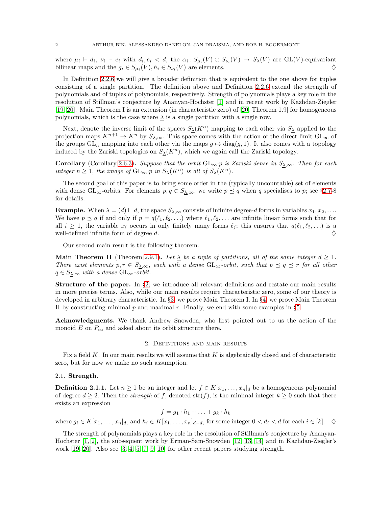where  $\mu_i \vdash d_i$ ,  $\nu_i \vdash e_i$  with  $d_i, e_i < d$ , the  $\alpha_i : S_{\mu_i}(V) \oplus S_{\nu_i}(V) \rightarrow S_{\lambda}(V)$  are GL(V)-equivariant bilinear maps and the  $g_i \in S_{\mu_i}(V), h_i \in S_{\nu_i}(V)$  are elements.

In Definition [2.2.6](#page-2-0) we will give a broader definition that is equivalent to the one above for tuples consisting of a single partition. The definition above and Definition [2.2.6](#page-2-0) extend the strength of polynomials and of tuples of polynomials, respectively. Strength of polynomials plays a key role in the resolution of Stillman's conjecture by Ananyan-Hochster [\[1\]](#page-17-0) and in recent work by Kazhdan-Ziegler [\[19,](#page-18-2) [20\]](#page-18-3). Main Theorem I is an extension (in characteristic zero) of [\[20,](#page-18-3) Theorem 1.9] for homogeneous polynomials, which is the case where  $\lambda$  is a single partition with a single row.

Next, denote the inverse limit of the spaces  $S_{\lambda}(K^n)$  mapping to each other via  $S_{\lambda}$  applied to the projection maps  $K^{n+1} \to K^n$  by  $S_{\underline{\lambda}, \infty}$ . This space comes with the action of the direct limit  $GL_{\infty}$  of the groups  $GL_n$  mapping into each other via the maps  $g \mapsto diag(g, 1)$ . It also comes with a topology induced by the Zariski topologies on  $S_{\lambda}(K^n)$ , which we again call the Zariski topology.

**Corollary** (Corollary [2.6.3\)](#page-6-0). Suppose that the orbit  $GL_{\infty} \cdot p$  is Zariski dense in  $S_{\lambda,\infty}$ . Then for each integer  $n \geq 1$ , the image of  $GL_{\infty} \cdot p$  in  $S_{\lambda}(K^{n})$  is all of  $S_{\lambda}(K^{n})$ .

The second goal of this paper is to bring some order in the (typically uncountable) set of elements with dense GL<sub>∞</sub>-orbits. For elements  $p, q \in S_{\lambda,\infty}$ , we write  $p \preceq q$  when q specialises to p; see §[2.7-](#page-7-0)8 for details.

**Example.** When  $\lambda = (d) \vdash d$ , the space  $S_{\lambda,\infty}$  consists of infinite degree-d forms in variables  $x_1, x_2, \ldots$ We have  $p \preceq q$  if and only if  $p = q(\ell_1, \ell_2, \ldots)$  where  $\ell_1, \ell_2, \ldots$  are infinite linear forms such that for all  $i \geq 1$ , the variable  $x_i$  occurs in only finitely many forms  $\ell_i$ ; this ensures that  $q(\ell_1, \ell_2, \ldots)$  is a well-defined infinite form of degree d.  $\Diamond$ 

Our second main result is the following theorem.

**Main Theorem II** (Theorem [2.9.1\)](#page-8-0). Let  $\lambda$  be a tuple of partitions, all of the same integer  $d \geq 1$ . There exist elements  $p, r \in S_{\Delta,\infty}$ , each with a dense  $GL_{\infty}$ -orbit, such that  $p \preceq q \preceq r$  for all other  $q \in S_{\lambda,\infty}$  with a dense  $GL_{\infty}$ -orbit.

Structure of the paper. In §[2,](#page-1-0) we introduce all relevant definitions and restate our main results in more precise terms. Also, while our main results require characteristic zero, some of our theory is developed in arbitrary characteristic. In §[3,](#page-9-0) we prove Main Theorem I. In §[4,](#page-12-0) we prove Main Theorem II by constructing minimal  $p$  and maximal  $r$ . Finally, we end with some examples in §[5.](#page-15-0)

<span id="page-1-0"></span>Acknowledgments. We thank Andrew Snowden, who first pointed out to us the action of the monoid E on  $P_{\infty}$  and asked about its orbit structure there.

#### 2. Definitions and main results

Fix a field  $K$ . In our main results we will assume that  $K$  is algebraically closed and of characteristic zero, but for now we make no such assumption.

# 2.1. Strength.

<span id="page-1-1"></span>**Definition 2.1.1.** Let  $n \geq 1$  be an integer and let  $f \in K[x_1, \ldots, x_n]_d$  be a homogeneous polynomial of degree  $d \geq 2$ . Then the *strength* of f, denoted str(f), is the minimal integer  $k \geq 0$  such that there exists an expression

$$
f = g_1 \cdot h_1 + \ldots + g_k \cdot h_k
$$

where  $g_i \in K[x_1, \ldots, x_n]_{d_i}$  and  $h_i \in K[x_1, \ldots, x_n]_{d-d_i}$  for some integer  $0 < d_i < d$  for each  $i \in [k]$ .  $\diamondsuit$ 

The strength of polynomials plays a key role in the resolution of Stillman's conjecture by Ananyan-Hochster [\[1,](#page-17-0) [2\]](#page-17-1), the subsequent work by Erman-Sam-Snowden [\[12,](#page-17-2) [13,](#page-18-4) [14\]](#page-18-5) and in Kazhdan-Ziegler's work [\[19,](#page-18-2) [20\]](#page-18-3). Also see [\[3,](#page-17-3) [4,](#page-17-4) [5,](#page-17-5) [7,](#page-17-6) [9,](#page-17-7) [10\]](#page-17-8) for other recent papers studying strength.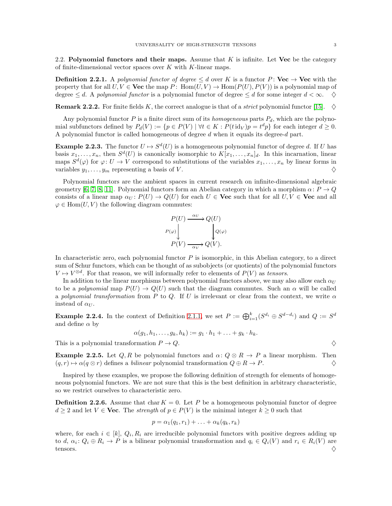2.2. Polynomial functors and their maps. Assume that  $K$  is infinite. Let Vec be the category of finite-dimensional vector spaces over  $K$  with  $K$ -linear maps.

**Definition 2.2.1.** A polynomial functor of degree  $\leq d$  over K is a functor P: Vec  $\rightarrow$  Vec with the property that for all  $U, V \in \mathbf{Vec}$  the map P: Hom $(U, V) \to \text{Hom}(P(U), P(V))$  is a polynomial map of degree  $\leq d$ . A polynomial functor is a polynomial functor of degree  $\leq d$  for some integer  $d < \infty$ .

**Remark 2.2.2.** For finite fields K, the correct analogue is that of a *strict* polynomial functor [\[15\]](#page-18-6).  $\diamond$ 

Any polynomial functor P is a finite direct sum of its *homogeneous* parts  $P_d$ , which are the polynomial subfunctors defined by  $P_d(V) := \{ p \in P(V) \mid \forall t \in K : P(t \operatorname{id}_V) p = t^d p \}$  for each integer  $d \geq 0$ . A polynomial functor is called homogeneous of degree  $d$  when it equals its degree- $d$  part.

**Example 2.2.3.** The functor  $U \mapsto S^d(U)$  is a homogeneous polynomial functor of degree d. If U has basis  $x_1, \ldots, x_n$ , then  $S^d(U)$  is canonically isomorphic to  $K[x_1, \ldots, x_n]_d$ . In this incarnation, linear maps  $S^d(\varphi)$  for  $\varphi: U \to V$  correspond to substitutions of the variables  $x_1, \ldots, x_n$  by linear forms in variables  $y_1, \ldots, y_m$  representing a basis of V.

Polynomial functors are the ambient spaces in current research on infinite-dimensional algebraic geometry [\[6,](#page-17-9) [7,](#page-17-6) [8,](#page-17-10) [11\]](#page-17-11). Polynomial functors form an Abelian category in which a morphism  $\alpha: P \to Q$ consists of a linear map  $\alpha_U : P(U) \to Q(U)$  for each  $U \in \mathbf{Vec}$  such that for all  $U, V \in \mathbf{Vec}$  and all  $\varphi \in \text{Hom}(U, V)$  the following diagram commutes:

$$
P(U) \xrightarrow{\alpha_U} Q(U)
$$
  
\n
$$
P(\varphi) \downarrow \qquad Q(\varphi)
$$
  
\n
$$
P(V) \xrightarrow{\alpha_V} Q(V).
$$

In characteristic zero, each polynomial functor  $P$  is isomorphic, in this Abelian category, to a direct sum of Schur functors, which can be thought of as subobjects (or quotients) of the polynomial functors  $V \mapsto V^{\otimes d}$ . For that reason, we will informally refer to elements of  $P(V)$  as tensors.

In addition to the linear morphisms between polynomial functors above, we may also allow each  $\alpha_U$ to be a polynomial map  $P(U) \to Q(U)$  such that the diagram commutes. Such an  $\alpha$  will be called a polynomial transformation from P to Q. If U is irrelevant or clear from the context, we write  $\alpha$ instead of  $\alpha_{U}$ .

**Example 2.2.4.** In the context of Definition [2.1.1,](#page-1-1) we set  $P := \bigoplus_{i=1}^{k} (S^{d_i} \oplus S^{d-d_i})$  and  $Q := S^d$ and define  $\alpha$  by

$$
\alpha(g_1, h_1, \ldots, g_k, h_k) := g_1 \cdot h_1 + \ldots + g_k \cdot h_k.
$$

This is a polynomial transformation  $P \to Q$ .

**Example 2.2.5.** Let  $Q, R$  be polynomial functors and  $\alpha: Q \otimes R \to P$  a linear morphism. Then  $(q, r) \mapsto \alpha(q \otimes r)$  defines a *bilinear* polynomial transformation  $Q \oplus R \to P$ .

Inspired by these examples, we propose the following definition of strength for elements of homogeneous polynomial functors. We are not sure that this is the best definition in arbitrary characteristic, so we restrict ourselves to characteristic zero.

<span id="page-2-0"></span>**Definition 2.2.6.** Assume that char  $K = 0$ . Let P be a homogeneous polynomial functor of degree  $d \geq 2$  and let  $V \in \mathbf{Vec}$ . The *strength* of  $p \in P(V)$  is the minimal integer  $k \geq 0$  such that

$$
p = \alpha_1(q_1, r_1) + \ldots + \alpha_k(q_k, r_k)
$$

where, for each  $i \in [k]$ ,  $Q_i, R_i$  are irreducible polynomial functors with positive degrees adding up to d,  $\alpha_i \colon Q_i \oplus R_i \to P$  is a bilinear polynomial transformation and  $q_i \in Q_i(V)$  and  $r_i \in R_i(V)$  are tensors.  $\Diamond$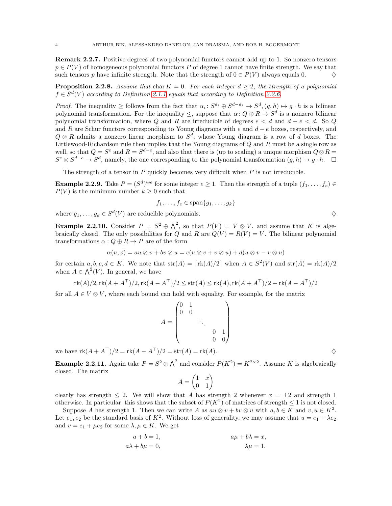Remark 2.2.7. Positive degrees of two polynomial functors cannot add up to 1. So nonzero tensors  $p \in P(V)$  of homogeneous polynomial functors P of degree 1 cannot have finite strength. We say that such tensors p have infinite strength. Note that the strength of  $0 \in P(V)$  always equals 0.

**Proposition 2.2.8.** Assume that char  $K = 0$ . For each integer  $d \geq 2$ , the strength of a polynomial  $f \in S^d(V)$  according to Definition [2.1.1](#page-1-1) equals that according to Definition [2.2.6.](#page-2-0)

*Proof.* The inequality  $\geq$  follows from the fact that  $\alpha_i : S^{d_i} \oplus S^{d-d_i} \to S^d$ ,  $(g, h) \mapsto g \cdot h$  is a bilinear polynomial transformation. For the inequality  $\leq$ , suppose that  $\alpha: Q \oplus R \to S^d$  is a nonzero bilinear polynomial transformation, where Q and R are irreducible of degrees  $e < d$  and  $d - e < d$ . So Q and R are Schur functors corresponding to Young diagrams with  $e$  and  $d - e$  boxes, respectively, and  $Q \otimes R$  admits a nonzero linear morphism to  $S^d$ , whose Young diagram is a row of d boxes. The Littlewood-Richardson rule then implies that the Young diagrams of Q and R must be a single row as well, so that  $Q = S^e$  and  $R = S^{d-e}$ , and also that there is (up to scaling) a unique morphism  $Q \otimes R =$  $S^e \otimes S^{d-e} \to S^d$ , namely, the one corresponding to the polynomial transformation  $(g, h) \mapsto g \cdot h$ .  $\Box$ 

The strength of a tensor in  $P$  quickly becomes very difficult when  $P$  is not irreducible.

**Example 2.2.9.** Take  $P = (S^d)^{\oplus e}$  for some integer  $e \geq 1$ . Then the strength of a tuple  $(f_1, \ldots, f_e) \in$  $P(V)$  is the minimum number  $k \geq 0$  such that

$$
f_1,\ldots,f_e\in\mathrm{span}\{g_1,\ldots,g_k\}
$$

where  $g_1, \ldots, g_k \in S^d(V)$  are reducible polynomials.  $\diamondsuit$ 

**Example 2.2.10.** Consider  $P = S^2 \oplus \bigwedge^2$ , so that  $P(V) = V \otimes V$ , and assume that K is algebraically closed. The only possibilities for Q and R are  $Q(V) = R(V) = V$ . The bilinear polynomial transformations  $\alpha$ :  $Q \oplus R \rightarrow P$  are of the form

$$
\alpha(u, v) = au \otimes v + bv \otimes u = c(u \otimes v + v \otimes u) + d(u \otimes v - v \otimes u)
$$

for certain  $a, b, c, d \in K$ . We note that  $str(A) = [rk(A)/2]$  when  $A \in S^2(V)$  and  $str(A) = rk(A)/2$ when  $A \in \bigwedge^2(V)$ . In general, we have

$$
rk(A)/2, rk(A + A^T)/2, rk(A - A^T)/2 \leq str(A) \leq rk(A), rk(A + A^T)/2 + rk(A - A^T)/2
$$

for all  $A \in V \otimes V$ , where each bound can hold with equality. For example, for the matrix

$$
A = \begin{pmatrix} 0 & 1 & & & \\ 0 & 0 & & & \\ & & \ddots & & \\ & & & 0 & 1 \\ & & & & 0 \end{pmatrix}
$$

we have  $\text{rk}(A + A^{\top})/2 = \text{rk}(A - A^{\top})/2 = \text{str}(A) = \text{rk}(A)$ .

**Example 2.2.11.** Again take  $P = S^2 \oplus \bigwedge^2$  and consider  $P(K^2) = K^{2 \times 2}$ . Assume K is algebraically closed. The matrix

$$
A = \begin{pmatrix} 1 & x \\ 0 & 1 \end{pmatrix}
$$

clearly has strength  $\leq 2$ . We will show that A has strength 2 whenever  $x = \pm 2$  and strength 1 otherwise. In particular, this shows that the subset of  $P(K^2)$  of matrices of strength  $\leq 1$  is not closed.

Suppose A has strength 1. Then we can write A as  $au \otimes v + bv \otimes u$  with  $a, b \in K$  and  $v, u \in K^2$ . Let  $e_1, e_2$  be the standard basis of  $K^2$ . Without loss of generality, we may assume that  $u = e_1 + \lambda e_2$ and  $v = e_1 + \mu e_2$  for some  $\lambda, \mu \in K$ . We get

$$
a + b = 1,
$$
  
\n
$$
a\lambda + b\mu = 0,
$$
  
\n
$$
a\mu + b\lambda = x,
$$
  
\n
$$
\lambda\mu = 1.
$$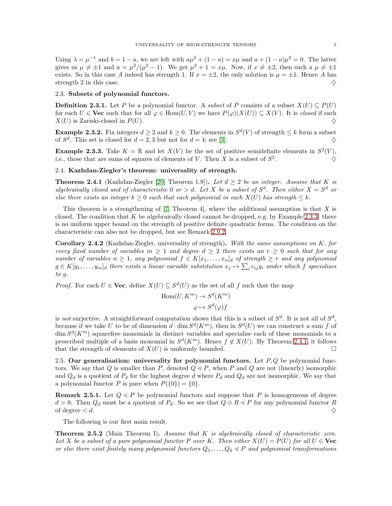Using  $\lambda = \mu^{-1}$  and  $b = 1 - a$ , we are left with  $a\mu^2 + (1 - a) = x\mu$  and  $a + (1 - a)\mu^2 = 0$ . The latter gives us  $\mu \neq \pm 1$  and  $a = \mu^2/(\mu^2 - 1)$ . We get  $\mu^2 + 1 = x\mu$ . Now, if  $x \neq \pm 2$ , then such a  $\mu \neq \pm 1$ exists. So in this case A indeed has strength 1. If  $x = \pm 2$ , the only solution is  $\mu = \pm 1$ . Hence A has strength 2 in this case.  $\Diamond$ 

#### 2.3. Subsets of polynomial functors.

**Definition 2.3.1.** Let P be a polynomial functor. A *subset* of P consists of a subset  $X(U) \subseteq P(U)$ for each  $U \in \mathbf{Vec}$  such that for all  $\varphi \in \text{Hom}(U, V)$  we have  $P(\varphi)(X(U)) \subseteq X(V)$ . It is closed if each  $X(U)$  is Zariski-closed in  $P(U)$ .

**Example 2.3.2.** Fix integers  $d \geq 2$  and  $k \geq 0$ . The elements in  $S^d(V)$  of strength  $\leq k$  form a subset of  $S^d$ . This set is closed for  $d = 2, 3$  but not for  $d = 4$ ; see [\[3\]](#page-17-3).

<span id="page-4-1"></span>**Example 2.3.3.** Take  $K = \mathbb{R}$  and let  $X(V)$  be the set of positive semidefinite elements in  $S^2(V)$ , i.e., those that are sums of squares of elements of V. Then X is a subset of  $S^2$ .  $\Diamond$ 

## 2.4. Kazhdan-Ziegler's theorem: universality of strength.

<span id="page-4-2"></span>**Theorem 2.4.1** (Kazhdan-Ziegler [\[20,](#page-18-3) Theorem 1.9]). Let  $d \geq 2$  be an integer. Assume that K is algebraically closed and of characteristic 0 or  $> d$ . Let X be a subset of  $S^d$ . Then either  $X = S^d$  or else there exists an integer  $k \geq 0$  such that each polynomial in each  $X(U)$  has strength  $\leq k$ .

This theorem is a strengthening of [\[7,](#page-17-6) Theorem 4], where the additional assumption is that X is closed. The condition that  $K$  be algebraically closed cannot be dropped, e.g. by Example [2.3.3:](#page-4-1) there is no uniform upper bound on the strength of positive definite quadratic forms. The condition on the characteristic can also not be dropped, but see Remark [2.9.2.](#page-8-1)

Corollary 2.4.2 (Kazhdan-Ziegler, universality of strength). With the same assumptions on K, for every fixed number of variables  $m \geq 1$  and degree  $d \geq 2$  there exists an  $r \geq 0$  such that for any number of variables  $n \geq 1$ , any polynomial  $f \in K[x_1, \ldots, x_n]_d$  of strength  $\geq r$  and any polynomial  $g \in K[y_1, \ldots, y_m]_d$  there exists a linear variable substitution  $x_j \mapsto \sum_i c_{ij} y_i$  under which f specialises to g.

*Proof.* For each  $U \in \mathbf{Vec}$ , define  $X(U) \subseteq S^d(U)$  as the set of all f such that the map

$$
Hom(U, K^m) \to S^d(K^m)
$$

$$
\varphi \mapsto S^d(\varphi)f
$$

is not surjective. A straightforward computation shows that this is a subset of  $S^d$ . It is not all of  $S^d$ , because if we take U to be of dimension  $d \cdot \dim S^d(K^m)$ , then in  $S^d(U)$  we can construct a sum f of  $\dim S^d(K^m)$  squarefree monomials in distinct variables and specialise each of these monomials to a prescribed multiple of a basis monomial in  $S^d(K^m)$ . Hence  $f \notin X(U)$ . By Theorem [2.4.1,](#page-4-2) it follows that the strength of elements of  $X(U)$  is uniformly bounded.

2.5. Our generalisation: universality for polynomial functors. Let  $P, Q$  be polynomial functors. We say that  $Q$  is smaller than  $P$ , denoted  $Q \ll P$ , when  $P$  and  $Q$  are not (linearly) isomorphic and  $Q_d$  is a quotient of  $P_d$  for the highest degree d where  $P_d$  and  $Q_d$  are not isomorphic. We say that a polynomial functor P is pure when  $P({0}) = {0}.$ 

<span id="page-4-3"></span>**Remark 2.5.1.** Let  $Q \leq P$  be polynomial functors and suppose that P is homogeneous of degree  $d > 0$ . Then  $Q_d$  must be a quotient of  $P_d$ . So we see that  $Q \oplus R \leq P$  for any polynomial functor R of degree  $\lt d$ .

The following is our first main result.

<span id="page-4-0"></span>**Theorem 2.5.2** (Main Theorem I). Assume that  $K$  is algebraically closed of characteristic zero. Let X be a subset of a pure polynomial functor P over K. Then either  $X(U) = P(U)$  for all  $U \in \mathbf{Vec}$ or else there exist finitely many polynomial functors  $Q_1, \ldots, Q_k \leq P$  and polynomial transformations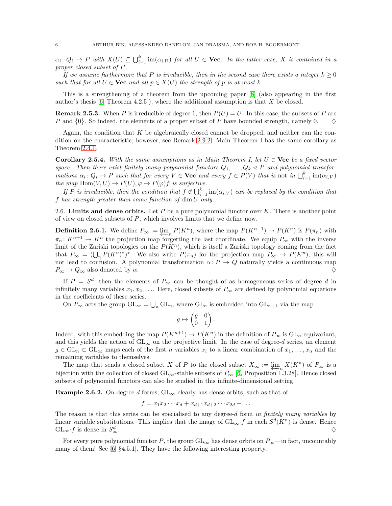$\alpha_i \colon Q_i \to P$  with  $X(U) \subseteq \bigcup_{i=1}^k \text{im}(\alpha_{i,U})$  for all  $U \in \mathbf{Vec}$ . In the latter case, X is contained in a proper closed subset of P.

If we assume furthermore that P is irreducible, then in the second case there exists a integer  $k > 0$ such that for all  $U \in \mathbf{Vec}$  and all  $p \in X(U)$  the strength of p is at most k.

This is a strengthening of a theorem from the upcoming paper [\[8\]](#page-17-10) (also appearing in the first author's thesis  $[6,$  Theorem 4.2.5]), where the additional assumption is that X be closed.

**Remark 2.5.3.** When P is irreducible of degree 1, then  $P(U) = U$ . In this case, the subsets of P are P and  $\{0\}$ . So indeed, the elements of a proper subset of P have bounded strength, namely 0.  $\diamond$ 

Again, the condition that  $K$  be algebraically closed cannot be dropped, and neither can the condition on the characteristic; however, see Remark [2.9.2.](#page-8-1) Main Theorem I has the same corollary as Theorem [2.4.1.](#page-4-2)

<span id="page-5-0"></span>**Corollary 2.5.4.** With the same assumptions as in Main Theorem I, let  $U \in \mathbf{Vec}$  be a fixed vector space. Then there exist finitely many polynomial functors  $Q_1, \ldots, Q_k \ll P$  and polynomial transformations  $\alpha_i \colon Q_i \to P$  such that for every  $V \in \mathbf{Vec}$  and every  $f \in P(V)$  that is not in  $\bigcup_{i=1}^k \text{im}(\alpha_{i,V})$ the map Hom $(V, U) \to P(U), \varphi \mapsto P(\varphi)f$  is surjective.

If P is irreducible, then the condition that  $f \notin \bigcup_{i=1}^{k} \text{im}(\alpha_{i,V})$  can be replaced by the condition that f has strength greater than some function of dim U only.

2.6. Limits and dense orbits. Let  $P$  be a pure polynomial functor over  $K$ . There is another point of view on closed subsets of  $P$ , which involves limits that we define now.

**Definition 2.6.1.** We define  $P_{\infty} := \varprojlim_n P(K^n)$ , where the map  $P(K^{n+1}) \to P(K^n)$  is  $P(\pi_n)$  with  $\pi_n: K^{n+1} \to K^n$  the projection map forgetting the last coordinate. We equip  $P_{\infty}$  with the inverse limit of the Zariski topologies on the  $P(K^n)$ , which is itself a Zariski topology coming from the fact that  $P_{\infty} = (\bigcup_{n} P(K^{n})^{*})^{*}$ . We also write  $P(\pi_{n})$  for the projection map  $P_{\infty} \to P(K^{n})$ ; this will not lead to confusion. A polynomial transformation  $\alpha: P \to Q$  naturally yields a continuous map  $P_{\infty} \to Q_{\infty}$  also denoted by  $\alpha$ .

If  $P = S^d$ , then the elements of  $P_{\infty}$  can be thought of as homogeneous series of degree d in infinitely many variables  $x_1, x_2, \ldots$ . Here, closed subsets of  $P_{\infty}$  are defined by polynomial equations in the coefficients of these series.

On  $P_{\infty}$  acts the group  $\mathrm{GL}_{\infty} = \bigcup_n \mathrm{GL}_n$ , where  $\mathrm{GL}_n$  is embedded into  $\mathrm{GL}_{n+1}$  via the map

$$
g \mapsto \begin{pmatrix} g & 0 \\ 0 & 1 \end{pmatrix}.
$$

Indeed, with this embedding the map  $P(K^{n+1}) \to P(K^n)$  in the definition of  $P_{\infty}$  is  $GL_n$ -equivariant, and this yields the action of  $GL_{\infty}$  on the projective limit. In the case of degree-d series, an element  $g \in GL_n \subset GL_\infty$  maps each of the first n variables  $x_i$  to a linear combination of  $x_1, \ldots, x_n$  and the remaining variables to themselves.

The map that sends a closed subset X of P to the closed subset  $X_{\infty} := \varprojlim_n X(K^n)$  of  $P_{\infty}$  is a bijection with the collection of closed  $GL_{\infty}$ -stable subsets of  $P_{\infty}$  [\[6,](#page-17-9) Proposition 1.3.28]. Hence closed subsets of polynomial functors can also be studied in this infinite-dimensional setting.

**Example 2.6.2.** On degree-d forms,  $GL_{\infty}$  clearly has dense orbits, such as that of

$$
f = x_1 x_2 \cdots x_d + x_{d+1} x_{d+2} \cdots x_{2d} + \dots
$$

The reason is that this series can be specialised to any degree-d form in finitely many variables by linear variable substitutions. This implies that the image of  $GL_{\infty} \cdot f$  in each  $S^d(K^n)$  is dense. Hence  $\mathrm{GL}_{\infty}\cdot f$  is dense in  $S^d_{\infty}$  $\overset{d}{\infty}$ .

For every pure polynomial functor P, the group  $GL_{\infty}$  has dense orbits on  $P_{\infty}$ —in fact, uncountably many of them! See [\[6,](#page-17-9) §4.5.1]. They have the following interesting property.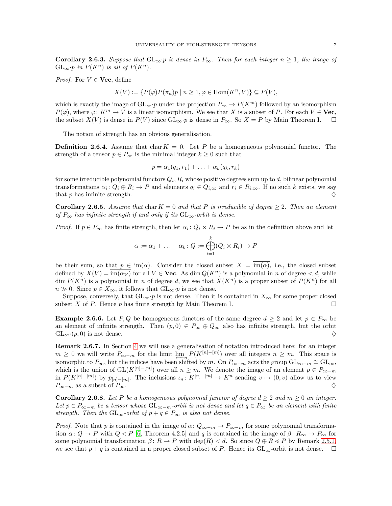<span id="page-6-0"></span>Corollary 2.6.3. Suppose that  $GL_\infty \cdot p$  is dense in  $P_\infty$ . Then for each integer  $n \geq 1$ , the image of  $GL_{\infty} \cdot p$  in  $P(K^{n})$  is all of  $P(K^{n})$ .

*Proof.* For  $V \in \mathbf{Vec}$ , define

$$
X(V) := \{ P(\varphi)P(\pi_n)p \mid n \ge 1, \varphi \in \text{Hom}(K^n, V) \} \subseteq P(V),
$$

which is exactly the image of  $GL_{\infty} \cdot p$  under the projection  $P_{\infty} \to P(K^m)$  followed by an isomorphism  $P(\varphi)$ , where  $\varphi: K^m \to V$  is a linear isomorphism. We see that X is a subset of P. For each  $V \in \mathbf{Vec}$ , the subset  $X(V)$  is dense in  $P(V)$  since  $GL_{\infty} \cdot p$  is dense in  $P_{\infty}$ . So  $X = P$  by Main Theorem I.  $\Box$ 

The notion of strength has an obvious generalisation.

**Definition 2.6.4.** Assume that char  $K = 0$ . Let P be a homogeneous polynomial functor. The strength of a tensor  $p \in P_{\infty}$  is the minimal integer  $k \geq 0$  such that

$$
p = \alpha_1(q_1, r_1) + \ldots + \alpha_k(q_k, r_k)
$$

for some irreducible polynomial functors  $Q_i, R_i$  whose positive degrees sum up to  $d$ , bilinear polynomial transformations  $\alpha_i \colon Q_i \oplus R_i \to P$  and elements  $q_i \in Q_{i,\infty}$  and  $r_i \in R_{i,\infty}$ . If no such k exists, we say that p has infinite strength.  $\diamondsuit$ 

**Corollary 2.6.5.** Assume that char  $K = 0$  and that P is irreducible of degree  $\geq 2$ . Then an element of  $P_{\infty}$  has infinite strength if and only if its  $GL_{\infty}$ -orbit is dense.

*Proof.* If  $p \in P_{\infty}$  has finite strength, then let  $\alpha_i : Q_i \times R_i \to P$  be as in the definition above and let

$$
\alpha := \alpha_1 + \ldots + \alpha_k \colon Q := \bigoplus_{i=1}^k (Q_i \otimes R_i) \to P
$$

be their sum, so that  $p \in \text{im}(\alpha)$ . Consider the closed subset  $X = \text{im}(\alpha)$ , i.e., the closed subset defined by  $X(V) = \overline{\text{im}(\alpha_V)}$  for all  $V \in \textbf{Vec}$ . As dim  $Q(K^n)$  is a polynomial in n of degree  $\lt d$ , while  $\dim P(K^n)$  is a polynomial in n of degree d, we see that  $X(K^n)$  is a proper subset of  $P(K^n)$  for all  $n \gg 0$ . Since  $p \in X_{\infty}$ , it follows that  $GL_{\infty} \cdot p$  is not dense.

Suppose, conversely, that  $GL_{\infty} \cdot p$  is not dense. Then it is contained in  $X_{\infty}$  for some proper closed subset X of P. Hence p has finite strength by Main Theorem I.

**Example 2.6.6.** Let P, Q be homogeneous functors of the same degree  $d \geq 2$  and let  $p \in P_{\infty}$  be an element of infinite strength. Then  $(p, 0) \in P_{\infty} \oplus Q_{\infty}$  also has infinite strength, but the orbit  $GL_{\infty}(p,0)$  is not dense.  $\diamondsuit$ 

<span id="page-6-1"></span>Remark 2.6.7. In Section [4](#page-12-0) we will use a generalisation of notation introduced here: for an integer  $m \geq 0$  we will write  $P_{\infty-m}$  for the limit  $\varprojlim_{n} P(K^{[n]-[m]})$  over all integers  $n \geq m$ . This space is isomorphic to  $P_{\infty}$ , but the indices have been shifted by m. On  $P_{\infty-m}$  acts the group  $\mathrm{GL}_{\infty-m} \cong \mathrm{GL}_{\infty}$ , which is the union of  $GL(K^{[n]-[m]})$  over all  $n \geq m$ . We denote the image of an element  $p \in P_{\infty-m}$ in  $P(K^{[n]-[m]})$  by  $p_{[n]-[m]}$ . The inclusions  $\iota_n: K^{[n]-[m]} \to K^n$  sending  $v \mapsto (0, v)$  allow us to view  $P_{\infty-m}$  as a subset of  $P_{\infty}$ .

<span id="page-6-2"></span>**Corollary 2.6.8.** Let P be a homogeneous polynomial functor of degree  $d \geq 2$  and  $m \geq 0$  an integer. Let  $p \in P_{\infty-m}$  be a tensor whose  $GL_{\infty-m}$ -orbit is not dense and let  $q \in P_{\infty}$  be an element with finite strength. Then the  $GL_{\infty}$ -orbit of  $p + q \in P_{\infty}$  is also not dense.

*Proof.* Note that p is contained in the image of  $\alpha$ :  $Q_{\infty-m} \to P_{\infty-m}$  for some polynomial transformation  $\alpha: Q \to P$  with  $Q \ll P$  [\[6,](#page-17-9) Theorem 4.2.5] and q is contained in the image of  $\beta: R_{\infty} \to P_{\infty}$  for some polynomial transformation  $\beta: R \to P$  with  $\deg(R) < d$ . So since  $Q \oplus R \leq P$  by Remark [2.5.1,](#page-4-3) we see that  $p + q$  is contained in a proper closed subset of P. Hence its  $GL_{\infty}$ -orbit is not dense.  $\square$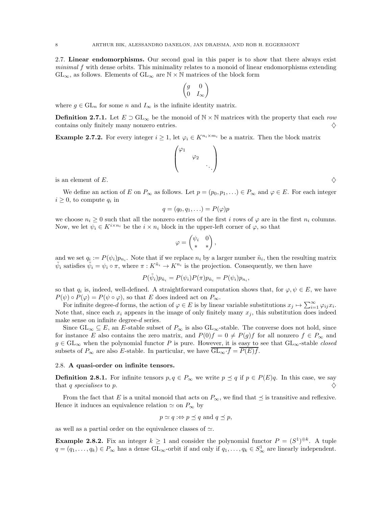<span id="page-7-0"></span>2.7. Linear endomorphisms. Our second goal in this paper is to show that there always exist minimal f with dense orbits. This minimality relates to a monoid of linear endomorphisms extending  $GL_{\infty}$ , as follows. Elements of  $GL_{\infty}$  are  $\mathbb{N} \times \mathbb{N}$  matrices of the block form

$$
\begin{pmatrix} g & 0 \\ 0 & I_{\infty} \end{pmatrix}
$$

where  $g \in GL_n$  for some n and  $I_{\infty}$  is the infinite identity matrix.

**Definition 2.7.1.** Let  $E \supset GL_{\infty}$  be the monoid of  $\mathbb{N} \times \mathbb{N}$  matrices with the property that each row contains only finitely many nonzero entries.  $\Diamond$ 

Example 2.7.2. For every integer  $i \geq 1$ , let  $\varphi_i \in K^{n_i \times m_i}$  be a matrix. Then the block matrix

$$
\begin{pmatrix} \varphi_1 & & \\ & \varphi_2 & \\ & & \ddots \end{pmatrix}
$$

is an element of E.

We define an action of E on  $P_{\infty}$  as follows. Let  $p = (p_0, p_1, \ldots) \in P_{\infty}$  and  $\varphi \in E$ . For each integer  $i \geq 0$ , to compute  $q_i$  in

$$
q=(q_0,q_1,\ldots)=P(\varphi)p
$$

we choose  $n_i \geq 0$  such that all the nonzero entries of the first i rows of  $\varphi$  are in the first  $n_i$  columns. Now, we let  $\psi_i \in K^{i \times n_i}$  be the  $i \times n_i$  block in the upper-left corner of  $\varphi$ , so that

$$
\varphi = \begin{pmatrix} \psi_i & 0 \\ * & * \end{pmatrix},
$$

and we set  $q_i := P(\psi_i) p_{n_i}$ . Note that if we replace  $n_i$  by a larger number  $\tilde{n}_i$ , then the resulting matrix  $\tilde{\psi}_i$  satisfies  $\tilde{\psi}_i = \psi_i \circ \pi$ , where  $\pi: K^{\tilde{n}_i} \to K^{n_i}$  is the projection. Consequently, we then have

$$
P(\tilde{\psi}_i)p_{\tilde{n}_i} = P(\psi_i)P(\pi)p_{\tilde{n}_i} = P(\psi_i)p_{n_i},
$$

so that  $q_i$  is, indeed, well-defined. A straightforward computation shows that, for  $\varphi, \psi \in E$ , we have  $P(\psi) \circ P(\varphi) = P(\psi \circ \varphi)$ , so that E does indeed act on  $P_{\infty}$ .

For infinite degree-d forms, the action of  $\varphi \in E$  is by linear variable substitutions  $x_j \mapsto \sum_{i=1}^{\infty} \varphi_{ij} x_i$ . Note that, since each  $x_i$  appears in the image of only finitely many  $x_j$ , this substitution does indeed make sense on infinite degree-d series.

Since  $GL_\infty \subseteq E$ , an E-stable subset of  $P_\infty$  is also  $GL_\infty$ -stable. The converse does not hold, since for instance E also contains the zero matrix, and  $P(0)f = 0 \neq P(g)f$  for all nonzero  $f \in P_{\infty}$  and  $g \in GL_{\infty}$  when the polynomial functor P is pure. However, it is easy to see that  $GL_{\infty}$ -stable closed subsets of  $P_{\infty}$  are also E-stable. In particular, we have  $\overline{GL_{\infty} \cdot f} = \overline{P(E)f}$ .

#### 2.8. A quasi-order on infinite tensors.

**Definition 2.8.1.** For infinite tensors  $p, q \in P_{\infty}$  we write  $p \preceq q$  if  $p \in P(E)q$ . In this case, we say that q specialises to p.  $\Diamond$ 

From the fact that E is a unital monoid that acts on  $P_{\infty}$ , we find that  $\preceq$  is transitive and reflexive. Hence it induces an equivalence relation  $\simeq$  on  $P_{\infty}$  by

$$
p \simeq q : \Leftrightarrow p \preceq q
$$
 and  $q \preceq p$ ,

as well as a partial order on the equivalence classes of  $\simeq$ .

<span id="page-7-1"></span>**Example 2.8.2.** Fix an integer  $k \geq 1$  and consider the polynomial functor  $P = (S^1)^{\oplus k}$ . A tuple  $q = (q_1, \ldots, q_k) \in P_\infty$  has a dense  $\mathrm{GL}_\infty$ -orbit if and only if  $q_1, \ldots, q_k \in S^1_\infty$  are linearly independent.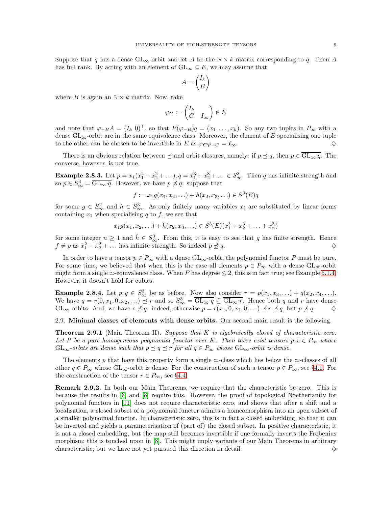Suppose that q has a dense  $GL_{\infty}$ -orbit and let A be the  $N \times k$  matrix corresponding to q. Then A has full rank. By acting with an element of  $GL_{\infty} \subseteq E$ , we may assume that

$$
A = \begin{pmatrix} I_k \\ B \end{pmatrix}
$$

where B is again an  $\mathbb{N} \times k$  matrix. Now, take

$$
\varphi_C := \begin{pmatrix} I_k \\ C & I_\infty \end{pmatrix} \in E
$$

and note that  $\varphi_{-B}A = (I_k \ 0)^{\top}$ , so that  $P(\varphi_{-B})q = (x_1, \ldots, x_k)$ . So any two tuples in  $P_{\infty}$  with a dense  $GL_{\infty}$ -orbit are in the same equivalence class. Moreover, the element of E specialising one tuple to the other can be chosen to be invertible in E as  $\varphi_C \varphi_{-C} = I_\infty$ .

There is an obvious relation between  $\preceq$  and orbit closures, namely: if  $p \preceq q$ , then  $p \in \overline{\mathrm{GL}_{\infty}q}$ . The converse, however, is not true.

**Example 2.8.3.** Let  $p = x_1(x_1^2 + x_2^2 + ...)$ ,  $q = x_1^3 + x_2^3 + ... \in S_\infty^3$ . Then q has infinite strength and so  $p \in S^3_{\infty} = \overline{\mathrm{GL}_{\infty} \cdot q}$ . However, we have  $p \npreceq q$ : suppose that

$$
f := x_1 g(x_1, x_2, \ldots) + h(x_2, x_3, \ldots) \in S^3(E)q
$$

for some  $g \in S^2_{\infty}$  and  $h \in S^3_{\infty}$ . As only finitely many variables  $x_i$  are substituted by linear forms containing  $x_1$  when specialising q to f, we see that

$$
x_1g(x_1, x_2, \ldots) + \tilde{h}(x_2, x_3, \ldots) \in S^3(E)(x_1^3 + x_2^3 + \ldots + x_n^3)
$$

for some integer  $n \geq 1$  and  $\tilde{h} \in S^3_{\infty}$ . From this, it is easy to see that g has finite strength. Hence  $f \neq p$  as  $x_1^2 + x_2^2 + \dots$  has infinite strength. So indeed  $p \nleq q$ .

In order to have a tensor  $p \in P_{\infty}$  with a dense  $GL_{\infty}$ -orbit, the polynomial functor P must be pure. For some time, we believed that when this is the case all elements  $p \in P_{\infty}$  with a dense  $GL_{\infty}$ -orbit might form a single  $\simeq$ -equivalence class. When P has degree  $\leq$  2, this is in fact true; see Example [5.1.4.](#page-16-0) However, it doesn't hold for cubics.

**Example 2.8.4.** Let  $p, q \in S^3_{\infty}$  be as before. Now also consider  $r = p(x_1, x_3, \ldots) + q(x_2, x_4, \ldots)$ . We have  $q = r(0, x_1, 0, x_2, ...) \preceq r$  and so  $S^3_{\infty} = \overline{GL_{\infty} \cdot q} \subseteq \overline{GL_{\infty} \cdot r}$ . Hence both q and r have dense  $GL_{\infty}$ -orbits. And, we have  $r \nleq q$ : indeed, otherwise  $p = r(x_1, 0, x_2, 0, ...) \leq r \leq q$ , but  $p \nleq q$ .  $\diamondsuit$ 

2.9. Minimal classes of elements with dense orbits. Our second main result is the following.

<span id="page-8-0"></span>**Theorem 2.9.1** (Main Theorem II). Suppose that  $K$  is algebraically closed of characteristic zero. Let P be a pure homogeneous polynomial functor over K. Then there exist tensors  $p, r \in P_{\infty}$  whose  $GL_{\infty}$ -orbits are dense such that  $p \preceq q \preceq r$  for all  $q \in P_{\infty}$  whose  $GL_{\infty}$ -orbit is dense.

The elements p that have this property form a single  $\simeq$ -class which lies below the  $\simeq$ -classes of all other  $q \in P_\infty$  whose  $GL_\infty$ -orbit is dense. For the construction of such a tensor  $p \in P_\infty$ , see §[4.1.](#page-12-1) For the construction of the tensor  $r \in P_{\infty}$ , see §[4.4.](#page-15-1)

<span id="page-8-1"></span>Remark 2.9.2. In both our Main Theorems, we require that the characteristic be zero. This is because the results in [\[6\]](#page-17-9) and [\[8\]](#page-17-10) require this. However, the proof of topological Noetherianity for polynomial functors in [\[11\]](#page-17-11) does not require characteristic zero, and shows that after a shift and a localisation, a closed subset of a polynomial functor admits a homeomorphism into an open subset of a smaller polynomial functor. In characteristic zero, this is in fact a closed embedding, so that it can be inverted and yields a parameterisation of (part of) the closed subset. In positive characteristic, it is not a closed embedding, but the map still becomes invertible if one formally inverts the Frobenius morphism; this is touched upon in [\[8\]](#page-17-10). This might imply variants of our Main Theorems in arbitrary characteristic, but we have not yet pursued this direction in detail.  $\diamond$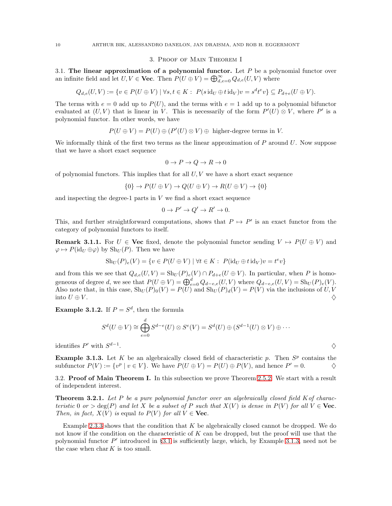#### 3. Proof of Main Theorem I

<span id="page-9-1"></span><span id="page-9-0"></span>3.1. The linear approximation of a polynomial functor. Let  $P$  be a polynomial functor over an infinite field and let  $U, V \in \mathbf{Vec}$ . Then  $P(U \oplus V) = \bigoplus_{d,e=0}^{\infty} Q_{d,e}(U, V)$  where

$$
Q_{d,e}(U,V) := \{ v \in P(U \oplus V) \mid \forall s,t \in K : P(s \operatorname{id}_U \oplus t \operatorname{id}_V)v = s^d t^e v \} \subseteq P_{d+e}(U \oplus V).
$$

The terms with  $e = 0$  add up to  $P(U)$ , and the terms with  $e = 1$  add up to a polynomial bifunctor evaluated at  $(U, V)$  that is linear in V. This is necessarily of the form  $P'(U) \otimes V$ , where P' is a polynomial functor. In other words, we have

$$
P(U \oplus V) = P(U) \oplus (P'(U) \otimes V) \oplus
$$
 higher-degree terms in V.

We informally think of the first two terms as the linear approximation of  $P$  around  $U$ . Now suppose that we have a short exact sequence

$$
0 \to P \to Q \to R \to 0
$$

of polynomial functors. This implies that for all  $U, V$  we have a short exact sequence

$$
\{0\} \to P(U \oplus V) \to Q(U \oplus V) \to R(U \oplus V) \to \{0\}
$$

and inspecting the degree-1 parts in  $V$  we find a short exact sequence

$$
0 \to P' \to Q' \to R' \to 0.
$$

This, and further straightforward computations, shows that  $P \mapsto P'$  is an exact functor from the category of polynomial functors to itself.

**Remark 3.1.1.** For  $U \in \mathbf{Vec}$  fixed, denote the polynomial functor sending  $V \mapsto P(U \oplus V)$  and  $\varphi \mapsto P(\mathrm{id}_U \oplus \varphi)$  by  $\mathrm{Sh}_U(P)$ . Then we have

$$
Sh_U(P)_e(V) = \{ v \in P(U \oplus V) \mid \forall t \in K : P(\mathrm{id}_U \oplus t \mathrm{id}_V)v = t^ev \}
$$

and from this we see that  $Q_{d,e}(U, V) = Sh_U(P)_e(V) \cap P_{d+e}(U \oplus V)$ . In particular, when P is homogeneous of degree d, we see that  $P(U \oplus V) = \bigoplus_{e=0}^{d} Q_{d-e,e}(U, V)$  where  $Q_{d-e,e}(U, V) = \text{Sh}_{U}(P)_{e}(V)$ . Also note that, in this case,  $\text{Sh}_U(P)_0(V) = P(U)$  and  $\text{Sh}_U(P)_d(V) = P(V)$  via the inclusions of U, V into  $U \oplus V$ .

**Example 3.1.2.** If  $P = S^d$ , then the formula

$$
S^{d}(U \oplus V) \cong \bigoplus_{e=0}^{d} S^{d-e}(U) \otimes S^{e}(V) = S^{d}(U) \oplus (S^{d-1}(U) \otimes V) \oplus \cdots
$$

identifies  $P'$  with  $S^{d-1}$ . And the contract of the contract of the contract of  $\Diamond$ 

<span id="page-9-2"></span>**Example 3.1.3.** Let K be an algebraically closed field of characteristic p. Then  $S<sup>p</sup>$  contains the subfunctor  $P(V) := \{v^p | v \in V\}$ . We have  $P(U \oplus V) = P(U) \oplus P(V)$ , and hence  $P' = 0$ .

3.2. Proof of Main Theorem I. In this subsection we prove Theorem [2.5.2.](#page-4-0) We start with a result of independent interest.

<span id="page-9-3"></span>**Theorem 3.2.1.** Let P be a pure polynomial functor over an algebraically closed field K of characteristic 0 or > deg(P) and let X be a subset of P such that  $X(V)$  is dense in  $P(V)$  for all  $V \in$  Vec. Then, in fact,  $X(V)$  is equal to  $P(V)$  for all  $V \in$  **Vec**.

Example [2.3.3](#page-4-1) shows that the condition that  $K$  be algebraically closed cannot be dropped. We do not know if the condition on the characteristic of  $K$  can be dropped, but the proof will use that the polynomial functor  $P'$  introduced in §[3.1](#page-9-1) is sufficiently large, which, by Example [3.1.3,](#page-9-2) need not be the case when  $\text{char } K$  is too small.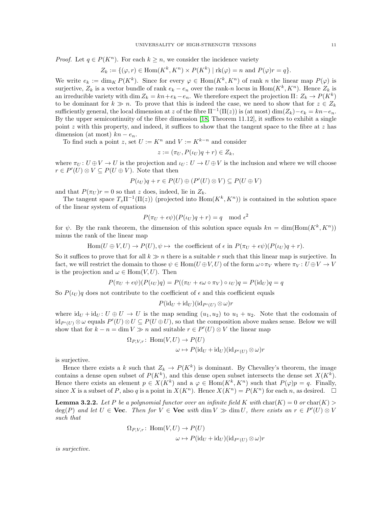*Proof.* Let  $q \in P(K^n)$ . For each  $k \geq n$ , we consider the incidence variety

$$
Z_k := \{ (\varphi, r) \in \text{Hom}(K^k, K^n) \times P(K^k) \mid \text{rk}(\varphi) = n \text{ and } P(\varphi)r = q \}.
$$

We write  $e_k := \dim_K P(K^k)$ . Since for every  $\varphi \in \text{Hom}(K^k, K^n)$  of rank n the linear map  $P(\varphi)$  is surjective,  $Z_k$  is a vector bundle of rank  $e_k - e_n$  over the rank-n locus in  $\text{Hom}(K^k, K^n)$ . Hence  $Z_k$  is an irreducible variety with  $\dim Z_k = kn + e_k - e_n$ . We therefore expect the projection  $\Pi: Z_k \to P(K^k)$ to be dominant for  $k \gg n$ . To prove that this is indeed the case, we need to show that for  $z \in Z_k$ sufficiently general, the local dimension at z of the fibre  $\Pi^{-1}(\Pi(z))$  is (at most) dim $(Z_k)-e_k = kn-e_n$ . By the upper semicontinuity of the fibre dimension [\[18,](#page-18-7) Theorem 11.12], it suffices to exhibit a single point z with this property, and indeed, it suffices to show that the tangent space to the fibre at z has dimension (at most)  $kn - e_n$ .

To find such a point z, set  $U := K^n$  and  $V := K^{k-n}$  and consider

$$
z := (\pi_U, P(\iota_U)q + r) \in Z_k,
$$

where  $\pi_U: U \oplus V \to U$  is the projection and  $\iota_U: U \to U \oplus V$  is the inclusion and where we will choose  $r \in P'(U) \otimes V \subseteq P(U \oplus V)$ . Note that then

$$
P(\iota_U)q + r \in P(U) \oplus (P'(U) \otimes V) \subseteq P(U \oplus V)
$$

and that  $P(\pi_U)r=0$  so that z does, indeed, lie in  $Z_k$ .

The tangent space  $T_z \Pi^{-1}(\Pi(z))$  (projected into  $\text{Hom}(K^k, K^n)$ ) is contained in the solution space of the linear system of equations

$$
P(\pi_U + \epsilon \psi)(P(\iota_U)q + r) = q \mod \epsilon^2
$$

for  $\psi$ . By the rank theorem, the dimension of this solution space equals  $kn = \dim(\text{Hom}(K^k, K^n))$ minus the rank of the linear map

Hom
$$
(U \oplus V, U) \to P(U), \psi \mapsto
$$
 the coefficient of  $\epsilon$  in  $P(\pi_U + \epsilon \psi)(P(\iota_U)q + r)$ .

So it suffices to prove that for all  $k \gg n$  there is a suitable r such that this linear map is surjective. In fact, we will restrict the domain to those  $\psi \in \text{Hom}(U \oplus V, U)$  of the form  $\omega \circ \pi_V$  where  $\pi_V : U \oplus V \to V$ is the projection and  $\omega \in \text{Hom}(V, U)$ . Then

$$
P(\pi_U + \epsilon \psi)(P(\iota_U)q) = P((\pi_U + \epsilon \omega \circ \pi_V) \circ \iota_U)q = P(\mathrm{id}_U)q = q
$$

So  $P(\iota_U)q$  does not contribute to the coefficient of  $\epsilon$  and this coefficient equals

$$
P(\mathrm{id}_U + \mathrm{id}_U)(\mathrm{id}_{P'(U)} \otimes \omega)r
$$

where  $\mathrm{id}_U + \mathrm{id}_U : U \oplus U \to U$  is the map sending  $(u_1, u_2)$  to  $u_1 + u_2$ . Note that the codomain of  $\mathrm{id}_{P'(U)} \otimes \omega$  equals  $P'(U) \otimes U \subseteq P(U \oplus U)$ , so that the composition above makes sense. Below we will show that for  $k - n = \dim V \gg n$  and suitable  $r \in P'(U) \otimes V$  the linear map

$$
\Omega_{P,V,r} \colon \text{Hom}(V,U) \to P(U)
$$

$$
\omega \mapsto P(\text{id}_U + \text{id}_U)(\text{id}_{P'(U)} \otimes \omega)r
$$

is surjective.

Hence there exists a k such that  $Z_k \to P(K^k)$  is dominant. By Chevalley's theorem, the image contains a dense open subset of  $P(K^k)$ , and this dense open subset intersects the dense set  $X(K^k)$ . Hence there exists an element  $p \in X(K^k)$  and a  $\varphi \in \text{Hom}(K^k, K^n)$  such that  $P(\varphi)p = q$ . Finally, since X is a subset of P, also q is a point in  $X(K^n)$ . Hence  $X(K^n) = P(K^n)$  for each n, as desired.  $\square$ 

**Lemma 3.2.2.** Let P be a polynomial functor over an infinite field K with  $char(K) = 0$  or  $char(K)$  $deg(P)$  and let  $U \in \mathbf{Vec}$ . Then for  $V \in \mathbf{Vec}$  with  $dim V \gg dim U$ , there exists an  $r \in P'(U) \otimes V$ such that

$$
\Omega_{P,V,r} \colon \text{Hom}(V,U) \to P(U)
$$

$$
\omega \mapsto P(\text{id}_U + \text{id}_U)(\text{id}_{P'(U)} \otimes \omega)r
$$

is surjective.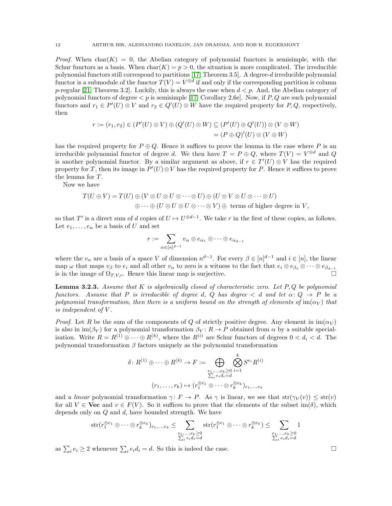*Proof.* When char( $K$ ) = 0, the Abelian category of polynomial functors is semisimple, with the Schur functors as a basis. When  $char(K) = p > 0$ , the situation is more complicated. The irreducible polynomial functors still correspond to partitions [\[17,](#page-18-0) Theorem 3.5]. A degree-d irreducible polynomial functor is a submodule of the functor  $T(V) = V^{\otimes d}$  if and only if the corresponding partition is column p-regular [\[21,](#page-18-8) Theorem 3.2]. Luckily, this is always the case when  $d < p$ . And, the Abelian category of polynomial functors of degree  $\lt p$  is semisimple [\[17,](#page-18-0) Corollary 2.6e]. Now, if P, Q are such polynomial functors and  $r_1 \in P'(U) \otimes V$  and  $r_2 \in Q'(U) \otimes W$  have the required property for P, Q, respectively, then

$$
r := (r_1, r_2) \in (P'(U) \otimes V) \oplus (Q'(U) \otimes W) \subseteq (P'(U) \oplus Q'(U)) \otimes (V \oplus W)
$$
  
= 
$$
(P \oplus Q)'(U) \otimes (V \oplus W)
$$

has the required property for  $P \oplus Q$ . Hence it suffices to prove the lemma in the case where P is an irreducible polynomial functor of degree d. We then have  $T = P \oplus Q$ , where  $T(V) = V^{\otimes d}$  and Q is another polynomial functor. By a similar argument as above, if  $r \in T'(U) \otimes V$  has the required property for T, then its image in  $P'(U) \otimes V$  has the required property for P. Hence it suffices to prove the lemma for  $T$ .

Now we have

$$
T(U \oplus V) = T(U) \oplus (V \otimes U \otimes U \otimes \cdots \otimes U) \oplus (U \otimes V \otimes U \otimes \cdots \otimes U)
$$
  

$$
\oplus \cdots \oplus (U \otimes U \otimes U \otimes \cdots \otimes V) \oplus \text{ terms of higher degree in } V,
$$

so that T' is a direct sum of d copies of  $U \mapsto U^{\otimes d-1}$ . We take r in the first of these copies, as follows. Let  $e_1, \ldots, e_n$  be a basis of U and set

$$
r := \sum_{\alpha \in [n]^{d-1}} v_{\alpha} \otimes e_{\alpha_1} \otimes \cdots \otimes e_{\alpha_{d-1}}
$$

where the  $v_\alpha$  are a basis of a space V of dimension  $n^{d-1}$ . For every  $\beta \in [n]^{d-1}$  and  $i \in [n]$ , the linear map  $\omega$  that maps  $v_{\beta}$  to  $e_i$  and all other  $v_{\alpha}$  to zero is a witness to the fact that  $e_i \otimes e_{\beta_1} \otimes \cdots \otimes e_{\beta_{d-1}}$ <br>is in the image of  $\Omega_{T,V,r}$ . Hence this linear map is surjective. is in the image of  $\Omega_{T,V,r}$ . Hence this linear map is surjective.

**Lemma 3.2.3.** Assume that K is algebraically closed of characteristic zero. Let  $P, Q$  be polynomial functors. Assume that P is irreducible of degree d, Q has degree  $\lt d$  and let  $\alpha: Q \to P$  be a polynomial transformation, then there is a uniform bound on the strength of elements of  $\text{im}(\alpha_V)$  that is independent of V .

*Proof.* Let R be the sum of the components of Q of strictly positive degree. Any element in  $\text{im}(\alpha_V)$ is also in  $\text{im}(\beta_V)$  for a polynomial transformation  $\beta_V : R \to P$  obtained from  $\alpha$  by a suitable specialisation. Write  $R = R^{(1)} \oplus \cdots \oplus R^{(k)}$ , where the  $R^{(i)}$  are Schur functors of degrees  $0 < d_i < d$ . The polynomial transformation  $\beta$  factors uniquely as the polynomial transformation

$$
\delta \colon R^{(1)} \oplus \cdots \oplus R^{(k)} \to F := \bigoplus_{\substack{e_1, \ldots, e_k \geq 0 \\ \sum_i e_i d_i = d}} \bigotimes_{i=1}^k S^{e_i} R^{(i)}
$$

$$
(r_1, \ldots, r_k) \mapsto (r_1^{\otimes e_1} \otimes \cdots \otimes r_k^{\otimes e_k})_{e_1, \ldots, e_k}
$$

and a *linear* polynomial transformation  $\gamma: F \to P$ . As  $\gamma$  is linear, we see that  $str(\gamma_V(v)) \leq str(v)$ for all  $V \in \mathbf{Vec}$  and  $v \in F(V)$ . So it suffices to prove that the elements of the subset im( $\delta$ ), which depends only on  $Q$  and  $d$ , have bounded strength. We have

$$
\text{str}(r_1^{\otimes e_1} \otimes \dots \otimes r_k^{\otimes e_k})_{e_1,\dots,e_k} \leq \sum_{\substack{e_1,\dots,e_k \geq 0 \\ \sum_i e_i d_i = d}} \text{str}(r_1^{\otimes e_1} \otimes \dots \otimes r_k^{\otimes e_k}) \leq \sum_{\substack{e_1,\dots,e_k \geq 0 \\ \sum_i e_i d_i = d}} 1
$$

as  $\sum_i e_i \geq 2$  whenever  $\sum_i e_i d_i = d$ . So this is indeed the case.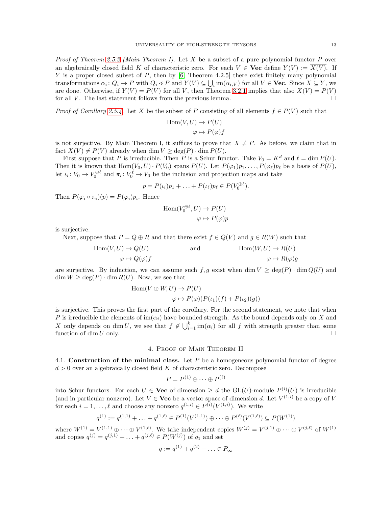Proof of Theorem [2.5.2](#page-4-0) (Main Theorem I). Let X be a subset of a pure polynomial functor P over an algebraically closed field K of characteristic zero. For each  $V \in \mathbf{Vec}$  define  $Y(V) := \overline{X(V)}$ . If Y is a proper closed subset of P, then by  $[6,$  Theorem 4.2.5] there exist finitely many polynomial transformations  $\alpha_i \colon Q_i \to P$  with  $Q_i \ll P$  and  $Y(V) \subseteq \bigcup_i \text{im}(\alpha_{i,V})$  for all  $V \in \textbf{Vec}$ . Since  $X \subseteq Y$ , we are done. Otherwise, if  $Y(V) = P(V)$  for all V, then Theorem [3.2.1](#page-9-3) implies that also  $X(V) = P(V)$ for all V. The last statement follows from the previous lemma.  $\Box$ 

*Proof of Corollary [2.5.4.](#page-5-0)* Let X be the subset of P consisting of all elements  $f \in P(V)$  such that

$$
\operatorname{Hom}(V, U) \to P(U)
$$

$$
\varphi \mapsto P(\varphi)f
$$

is not surjective. By Main Theorem I, it suffices to prove that  $X \neq P$ . As before, we claim that in fact  $X(V) \neq P(V)$  already when dim  $V \geq \deg(P) \cdot \dim P(U)$ .

First suppose that P is irreducible. Then P is a Schur functor. Take  $V_0 = K^d$  and  $\ell = \dim P(U)$ . Then it is known that  $Hom(V_0, U) \cdot P(V_0)$  spans  $P(U)$ . Let  $P(\varphi_1)p_1, \ldots, P(\varphi_\ell)p_\ell$  be a basis of  $P(U)$ , let  $\iota_i: V_0 \to V_0^{\oplus \ell}$  and  $\pi_i: V_0^{\ell} \to V_0$  be the inclusion and projection maps and take

$$
p = P(\iota_i)p_1 + \ldots + P(\iota_\ell)p_\ell \in P(V_0^{\oplus \ell}).
$$

Then  $P(\varphi_i \circ \pi_i)(p) = P(\varphi_i)p_i$ . Hence

$$
Hom(V_0^{\oplus \ell}, U) \to P(U)
$$

$$
\varphi \mapsto P(\varphi)p
$$

is surjective.

Next, suppose that  $P = Q \oplus R$  and that there exist  $f \in Q(V)$  and  $g \in R(W)$  such that

$$
\text{Hom}(V, U) \to Q(U) \qquad \text{and} \qquad \text{Hom}(W, U) \to R(U) \n\varphi \mapsto Q(\varphi)f \qquad \qquad \varphi \mapsto R(\varphi)g
$$

are surjective. By induction, we can assume such  $f, g$  exist when  $\dim V \ge \deg(P) \cdot \dim Q(U)$  and  $\dim W \ge \deg(P) \cdot \dim R(U)$ . Now, we see that

$$
Hom(V \oplus W, U) \to P(U)
$$
  

$$
\varphi \mapsto P(\varphi)(P(\iota_1)(f) + P(\iota_2)(g))
$$

is surjective. This proves the first part of the corollary. For the second statement, we note that when P is irreducible the elements of  $\text{im}(\alpha_i)$  have bounded strength. As the bound depends only on X and X only depends on dim U, we see that  $f \notin \bigcup_{i=1}^k \text{im}(\alpha_i)$  for all f with strength greater than some function of dim U only.

#### 4. Proof of Main Theorem II

<span id="page-12-1"></span><span id="page-12-0"></span>4.1. Construction of the minimal class. Let  $P$  be a homogeneous polynomial functor of degree  $d > 0$  over an algebraically closed field K of characteristic zero. Decompose

$$
P = P^{(1)} \oplus \cdots \oplus P^{(\ell)}
$$

into Schur functors. For each  $U \in \mathbf{Vec}$  of dimension  $\geq d$  the  $GL(U)$ -module  $P^{(i)}(U)$  is irreducible (and in particular nonzero). Let  $V \in \mathbf{Vec}$  be a vector space of dimension d. Let  $V^{(1,i)}$  be a copy of V for each  $i = 1, ..., \ell$  and choose any nonzero  $q^{(1,i)} \in P^{(i)}(V^{(1,i)})$ . We write

$$
q^{(1)} := q^{(1,1)} + \ldots + q^{(1,\ell)} \in P^{(1)}(V^{(1,1)}) \oplus \cdots \oplus P^{(\ell)}(V^{(1,\ell)}) \subseteq P(W^{(1)})
$$

where  $W^{(1)} = V^{(1,1)} \oplus \cdots \oplus V^{(1,\ell)}$ . We take independent copies  $W^{(j)} = V^{(j,1)} \oplus \cdots \oplus V^{(j,\ell)}$  of  $W^{(1)}$ and copies  $q^{(j)} = q^{(j,1)} + \ldots + q^{(j,\ell)} \in P(W^{(j)})$  of  $q_1$  and set

$$
q := q^{(1)} + q^{(2)} + \ldots \in P_{\infty}
$$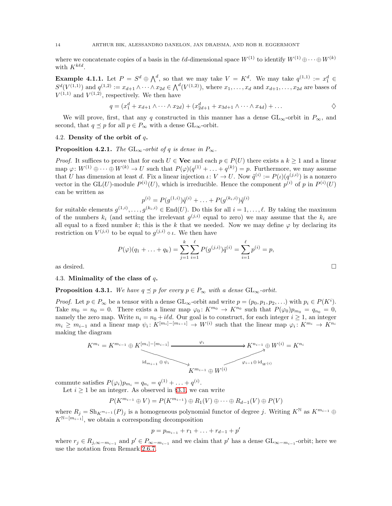where we concatenate copies of a basis in the  $\ell d$ -dimensional space  $W^{(1)}$  to identify  $W^{(1)} \oplus \cdots \oplus W^{(k)}$ with  $K^{k\ell d}$ .

**Example 4.1.1.** Let  $P = S^d \oplus \bigwedge^d$ , so that we may take  $V = K^d$ . We may take  $q^{(1,1)} := x_1^d \in$  $S^{d}(V^{(1,1)})$  and  $q^{(1,2)} := x_{d+1} \wedge \cdots \wedge x_{2d} \in \bigwedge^{d}(V^{(1,2)}),$  where  $x_1, \ldots, x_d$  and  $x_{d+1}, \ldots, x_{2d}$  are bases of  $V^{(1,1)}$  and  $V^{(1,2)}$ , respectively. We then have

$$
q = (x_1^d + x_{d+1} \wedge \cdots \wedge x_{2d}) + (x_{2d+1}^d + x_{3d+1} \wedge \cdots \wedge x_{4d}) + \dots
$$

We will prove, first, that any q constructed in this manner has a dense  $GL_{\infty}$ -orbit in  $P_{\infty}$ , and second, that  $q \leq p$  for all  $p \in P_{\infty}$  with a dense  $GL_{\infty}$ -orbit.

## 4.2. Density of the orbit of  $q$ .

<span id="page-13-0"></span>**Proposition 4.2.1.** The GL<sub>∞</sub>-orbit of q is dense in  $P_{\infty}$ .

*Proof.* It suffices to prove that for each  $U \in \mathbf{Vec}$  and each  $p \in P(U)$  there exists a  $k \geq 1$  and a linear map  $\varphi: W^{(1)} \oplus \cdots \oplus W^{(k)} \to U$  such that  $P(\varphi)(q^{(1)} + \ldots + q^{(k)}) = p$ . Furthermore, we may assume that U has dimension at least d. Fix a linear injection  $\iota: V \to U$ . Now  $\tilde{q}^{(i)} := P(\iota)(q^{(j,i)})$  is a nonzero vector in the GL(U)-module  $P^{(i)}(U)$ , which is irreducible. Hence the component  $p^{(i)}$  of p in  $P^{(i)}(U)$ can be written as

$$
p^{(i)} = P(g^{(1,i)})\tilde{q}^{(i)} + \ldots + P(g^{(k_i,i)})\tilde{q}^{(i)}
$$

for suitable elements  $g^{(1,i)}, \ldots, g^{(k_i,i)} \in \text{End}(U)$ . Do this for all  $i = 1, \ldots, \ell$ . By taking the maximum of the numbers  $k_i$  (and setting the irrelevant  $g^{(j,i)}$  equal to zero) we may assume that the  $k_i$  are all equal to a fixed number k; this is the k that we needed. Now we may define  $\varphi$  by declaring its restriction on  $V^{(j,i)}$  to be equal to  $g^{(j,i)} \circ \iota$ . We then have

$$
P(\varphi)(q_1 + \ldots + q_k) = \sum_{j=1}^k \sum_{i=1}^\ell P(g^{(j,i)}) \tilde{q}^{(i)} = \sum_{i=1}^\ell p^{(i)} = p,
$$
 as desired.

#### 4.3. Minimality of the class of  $q$ .

<span id="page-13-1"></span>**Proposition 4.3.1.** We have  $q \preceq p$  for every  $p \in P_{\infty}$  with a dense  $GL_{\infty}$ -orbit.

*Proof.* Let  $p \in P_{\infty}$  be a tensor with a dense  $GL_{\infty}$ -orbit and write  $p = (p_0, p_1, p_2, \ldots)$  with  $p_i \in P(K^i)$ . Take  $m_0 = n_0 = 0$ . There exists a linear map  $\varphi_0: K^{m_0} \to K^{n_0}$  such that  $P(\varphi_0)p_{m_0} = q_{n_0} = 0$ , namely the zero map. Write  $n_i = n_0 + i\ell d$ . Our goal is to construct, for each integer  $i \ge 1$ , an integer  $m_i \geq m_{i-1}$  and a linear map  $\psi_i: K^{[m_i]-[m_{i-1}]} \to W^{(i)}$  such that the linear map  $\varphi_i: K^{m_i} \to K^{n_i}$ making the diagram

$$
K^{m_i} = K^{m_{i-1}} \oplus K^{\lfloor m_i \rfloor - \lfloor m_{i-1} \rfloor} \xrightarrow{\varphi_i} K^{n_{i-1}} \oplus W^{(i)} = K^{n_i}
$$
  
id<sub>m\_{i-1} \oplus \psi\_i</sub>  

$$
K^{m_{i-1}} \oplus W^{(i)}
$$

commute satisfies  $P(\varphi_i)p_{m_i} = q_{n_i} = q^{(1)} + \ldots + q^{(i)}$ .

Let  $i \geq 1$  be an integer. As observed in §[3.1,](#page-9-1) we can write

$$
P(K^{m_{i-1}} \oplus V) = P(K^{m_{i-1}}) \oplus R_1(V) \oplus \cdots \oplus R_{d-1}(V) \oplus P(V)
$$

where  $R_j = Sh_{K^{m_{i-1}}}(P)_j$  is a homogeneous polynomial functor of degree j. Writing  $K^{\mathbb{N}}$  as  $K^{m_{i-1}} \oplus$  $K^{\mathbb{N}-[m_{i-1}]}$ , we obtain a corresponding decomposition

$$
p = p_{m_{i-1}} + r_1 + \ldots + r_{d-1} + p'
$$

where  $r_j \in R_{j,\infty-m_{i-1}}$  and  $p' \in P_{\infty-m_{i-1}}$  and we claim that  $p'$  has a dense  $GL_{\infty-m_{i-1}}$ -orbit; here we use the notation from Remark [2.6.7.](#page-6-1)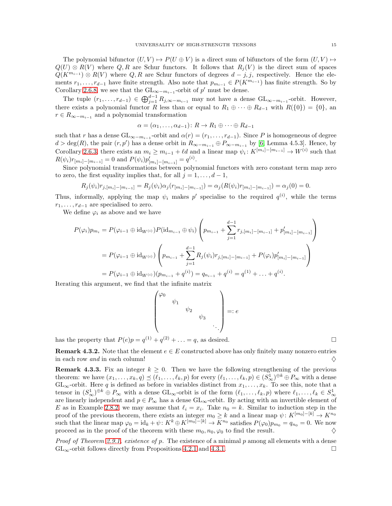The polynomial bifunctor  $(U, V) \rightarrow P(U \oplus V)$  is a direct sum of bifunctors of the form  $(U, V) \rightarrow$  $Q(U) \otimes R(V)$  where Q, R are Schur functors. It follows that  $R_i(V)$  is the direct sum of spaces  $Q(K^{m_{i-1}}) \otimes R(V)$  where  $Q, R$  are Schur functors of degrees  $d-j, j$ , respectively. Hence the elements  $r_1, \ldots, r_{d-1}$  have finite strength. Also note that  $p_{m_{i-1}} \in P(K^{m_{i-1}})$  has finite strength. So by Corollary [2.6.8,](#page-6-2) we see that the  $\mathrm{GL}_{\infty-m_{i-1}}$ -orbit of p' must be dense.

The tuple  $(r_1,\ldots,r_{d-1}) \in \bigoplus_{j=1}^{d-1} R_{j,\infty-m_{i-1}}$  may not have a dense  $GL_{\infty-m_{i-1}}$ -orbit. However, there exists a polynomial functor R less than or equal to  $R_1 \oplus \cdots \oplus R_{d-1}$  with  $R({0}) = {0}$ , an  $r \in R_{\infty-m_{i-1}}$  and a polynomial transformation

$$
\alpha = (\alpha_1, \ldots, \alpha_{d-1}) \colon R \to R_1 \oplus \cdots \oplus R_{d-1}
$$

such that r has a dense  $\mathrm{GL}_{\infty-m_{i-1}}$ -orbit and  $\alpha(r) = (r_1,\ldots,r_{d-1})$ . Since P is homogeneous of degree  $d > \deg(R)$ , the pair  $(r, p')$  has a dense orbit in  $R_{\infty-m_{i-1}} \oplus P_{\infty-m_{i-1}}$  by [\[6,](#page-17-9) Lemma 4.5.3]. Hence, by Corollary [2.6.3,](#page-6-0) there exists an  $m_i \geq m_{i-1} + \ell d$  and a linear map  $\psi_i: K^{[m_i]-[m_{i-1}]} \to W^{(i)}$  such that  $R(\psi_i)r_{[m_i]-[m_{i-1}]}=0$  and  $P(\psi_i)p'_{[m_i]-[m_{i-1}]}=q^{(i)}$ .

Since polynomial transformations between polynomial functors with zero constant term map zero to zero, the first equality implies that, for all  $j = 1, \ldots, d - 1$ ,

$$
R_j(\psi_i)r_{j,[m_i]-[m_{i-1}]} = R_j(\psi_i)\alpha_j(r_{[m_i]-[m_{i-1}]}) = \alpha_j(R(\psi_i)r_{[m_i]-[m_{i-1}]}) = \alpha_j(0) = 0.
$$

Thus, informally, applying the map  $\psi_i$  makes p' specialise to the required  $q^{(i)}$ , while the terms  $r_1, \ldots, r_{d-1}$  are specialised to zero.

We define  $\varphi_i$  as above and we have

$$
P(\varphi_i)p_{m_i} = P(\varphi_{i-1} \oplus id_{W^{(i)}})P(id_{m_{i-1}} \oplus \psi_i) \left( p_{m_{i-1}} + \sum_{j=1}^{d-1} r_{j,[m_i]-[m_{i-1}]} + p'_{[m_i]-[m_{i-1}]} \right)
$$
  
= 
$$
P(\varphi_{i-1} \oplus id_{W^{(i)}}) \left( p_{m_{i-1}} + \sum_{j=1}^{d-1} R_j(\psi_i)r_{j,[m_i]-[m_{i-1}]} + P(\varphi_i)p'_{[m_i]-[m_{i-1}]} \right)
$$
  
= 
$$
P(\varphi_{i-1} \oplus id_{W^{(i)}})(p_{m_{i-1}} + q^{(i)}) = q_{n_{i-1}} + q^{(i)} = q^{(1)} + \ldots + q^{(i)}.
$$

Iterating this argument, we find that the infinite matrix

$$
\begin{pmatrix} \varphi_0 & & & \\ & \psi_1 & & & \\ & & \psi_2 & & \\ & & & \psi_3 & \\ & & & & \ddots \end{pmatrix} =: e
$$

has the property that  $P(e)p = q^{(1)} + q^{(2)} + \ldots = q$ , as desired.

**Remark 4.3.2.** Note that the element  $e \in E$  constructed above has only finitely many nonzero entries in each row and in each column!

<span id="page-14-0"></span>**Remark 4.3.3.** Fix an integer  $k \geq 0$ . Then we have the following strengthening of the previous theorem: we have  $(x_1, \ldots, x_k, q) \preceq (\ell_1, \ldots, \ell_k, p)$  for every  $(\ell_1, \ldots, \ell_k, p) \in (S^1_\infty)^{\oplus k} \oplus P_\infty$  with a dense  $GL_{\infty}$ -orbit. Here q is defined as before in variables distinct from  $x_1, \ldots, x_k$ . To see this, note that a tensor in  $(S^1_\infty)^{\oplus k} \oplus P_\infty$  with a dense  $GL_\infty$ -orbit is of the form  $(\ell_1, \ldots, \ell_k, p)$  where  $\ell_1, \ldots, \ell_k \in S^1_\infty$ are linearly independent and  $p \in P_{\infty}$  has a dense  $GL_{\infty}$ -orbit. By acting with an invertible element of E as in Example [2.8.2,](#page-7-1) we may assume that  $\ell_i = x_i$ . Take  $n_0 = k$ . Similar to induction step in the proof of the previous theorem, there exists an integer  $m_0 \geq k$  and a linear map  $\psi: K^{[m_0]-[k]} \to K^{n_0}$ such that the linear map  $\varphi_0 = id_k + \psi$ :  $K^k \oplus K^{[m_0]-[k]} \to \overline{K}^{n_0}$  satisfies  $P(\varphi_0) \hat{p}_{m_0} = q_{n_0} = 0$ . We now proceed as in the proof of the theorem with these  $m_0, n_0, \varphi_0$  to find the result.  $\diamondsuit$ 

*Proof of Theorem [2.9.1,](#page-8-0) existence of p.* The existence of a minimal p among all elements with a dense  $GL_{\infty}$ -orbit follows directly from Propositions [4.2.1](#page-13-0) and [4.3.1.](#page-13-1)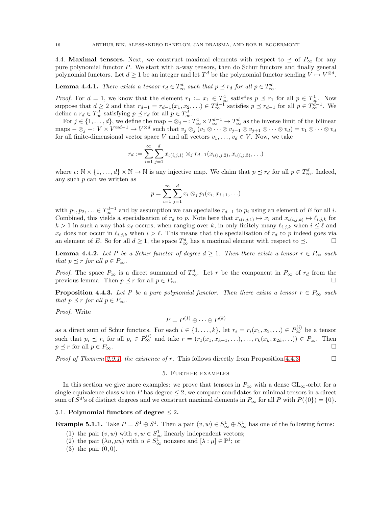<span id="page-15-1"></span>4.4. Maximal tensors. Next, we construct maximal elements with respect to  $\preceq$  of  $P_{\infty}$  for any pure polynomial functor  $P$ . We start with n-way tensors, then do Schur functors and finally general polynomial functors. Let  $d \geq 1$  be an integer and let  $T^d$  be the polynomial functor sending  $V \mapsto V^{\otimes d}$ .

# **Lemma 4.4.1.** There exists a tensor  $r_d \in T_\infty^d$  such that  $p \preceq r_d$  for all  $p \in T_\infty^d$ .

*Proof.* For  $d = 1$ , we know that the element  $r_1 := x_1 \in T_\infty^1$  satisfies  $p \preceq r_1$  for all  $p \in T_\infty^1$ . Now suppose that  $d \geq 2$  and that  $r_{d-1} = r_{d-1}(x_1, x_2, \ldots) \in T_{\infty}^{d-1}$  satisfies  $p \preceq r_{d-1}$  for all  $p \in T_{\infty}^{d-1}$ . We define a  $r_d \in T^d_{\infty}$  satisfying  $p \preceq r_d$  for all  $p \in T^d_{\infty}$ .

For  $j \in \{1, ..., d\}$ , we define the map  $-\otimes_j - \colon T^1_{\infty} \times T^{d-1}_{\infty} \to T^{d}_{\infty}$  as the inverse limit of the bilinear maps  $-\otimes_j -: V \times V^{\otimes d-1} \to V^{\otimes d}$  such that  $v_j \otimes_j (v_1 \otimes \cdots \otimes v_{j-1} \otimes v_{j+1} \otimes \cdots \otimes v_d) = v_1 \otimes \cdots \otimes v_d$ for all finite-dimensional vector space V and all vectors  $v_1, \ldots, v_d \in V$ . Now, we take

$$
r_d := \sum_{i=1}^{\infty} \sum_{j=1}^{d} x_{\iota(i,j,1)} \otimes_j r_{d-1}(x_{\iota(i,j,2)}, x_{\iota(i,j,3)}, \ldots)
$$

where  $\iota: \mathbb{N} \times \{1, \ldots, d\} \times \mathbb{N} \to \mathbb{N}$  is any injective map. We claim that  $p \preceq r_d$  for all  $p \in T_\infty^d$ . Indeed, any such p can we written as

$$
p = \sum_{i=1}^{\infty} \sum_{j=1}^{d} x_i \otimes_j p_i(x_i, x_{i+1}, \ldots)
$$

with  $p_1, p_2, \ldots \in T_\infty^{d-1}$  and by assumption we can specialise  $r_{d-1}$  to  $p_i$  using an element of E for all i. Combined, this yields a specialisation of  $r_d$  to p. Note here that  $x_{\iota(i,j,1)} \mapsto x_i$  and  $x_{\iota(i,j,k)} \mapsto \ell_{i,j,k}$  for  $k > 1$  in such a way that  $x_{\ell}$  occurs, when ranging over k, in only finitely many  $\ell_{i,j,k}$  when  $i \leq \ell$  and  $x_{\ell}$  does not occur in  $\ell_{i,j,k}$  when  $i > \ell$ . This means that the specialisation of  $r_d$  to p indeed goes via an element of E. So for all  $d \geq 1$ , the space  $T_{\infty}^d$  has a maximal element with respect to  $\preceq$ .

**Lemma 4.4.2.** Let P be a Schur functor of degree  $d \geq 1$ . Then there exists a tensor  $r \in P_{\infty}$  such that  $p \preceq r$  for all  $p \in P_{\infty}$ .

*Proof.* The space  $P_{\infty}$  is a direct summand of  $T_{\infty}^d$ . Let r be the component in  $P_{\infty}$  of  $r_d$  from the previous lemma. Then  $p \preceq r$  for all  $p \in P_{\infty}$ .

<span id="page-15-2"></span>**Proposition 4.4.3.** Let P be a pure polynomial functor. Then there exists a tensor  $r \in P_{\infty}$  such that  $p \preceq r$  for all  $p \in P_{\infty}$ .

Proof. Write

$$
P = P^{(1)} \oplus \cdots \oplus P^{(k)}
$$

as a direct sum of Schur functors. For each  $i \in \{1, ..., k\}$ , let  $r_i = r_i(x_1, x_2, ...) \in P_{\infty}^{(i)}$  be a tensor such that  $p_i \preceq r_i$  for all  $p_i \in P_{\infty}^{(i)}$  and take  $r = (r_1(x_1, x_{k+1}, \ldots), \ldots, r_k(x_k, x_{2k}, \ldots)) \in P_{\infty}$ . Then  $p \preceq r$  for all  $p \in P_{\infty}$ .

<span id="page-15-0"></span>*Proof of Theorem [2.9.1,](#page-8-0) the existence of r.* This follows directly from Proposition [4.4.3.](#page-15-2)

#### 5. Further examples

In this section we give more examples: we prove that tensors in  $P_{\infty}$  with a dense  $GL_{\infty}$ -orbit for a single equivalence class when P has degree  $\leq$  2, we compare candidates for minimal tensors in a direct sum of  $S^{d}$ 's of distinct degrees and we construct maximal elements in  $P_{\infty}$  for all P with  $P({0}) = {0}.$ 

# 5.1. Polynomial functors of degree  $\leq 2$ .

**Example 5.1.1.** Take  $P = S^1 \oplus S^1$ . Then a pair  $(v, w) \in S^1_{\infty} \oplus S^1_{\infty}$  has one of the following forms:

- (1) the pair  $(v, w)$  with  $v, w \in S^1_{\infty}$  linearly independent vectors;
- (2) the pair  $(\lambda u, \mu u)$  with  $u \in S^1_{\infty}$  nonzero and  $[\lambda : \mu] \in \mathbb{P}^1$ ; or
- $(3)$  the pair  $(0, 0)$ .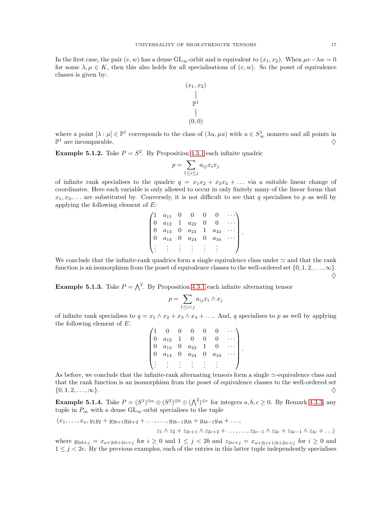In the first case, the pair  $(v, w)$  has a dense GL<sub>∞</sub>-orbit and is equivalent to  $(x_1, x_2)$ . When  $\mu v - \lambda w = 0$ for some  $\lambda, \mu \in K$ , then this also holds for all specialisations of  $(v, w)$ . So the poset of equivalence classes is given by:



where a point  $[\lambda : \mu] \in \mathbb{P}^1$  corresponds to the class of  $(\lambda u, \mu u)$  with  $u \in S^1_\infty$  nonzero and all points in  $\mathbb{P}^1$  are incomparable.

**Example 5.1.2.** Take  $P = S^2$ . By Proposition [4.3.1](#page-13-1) each infinite quadric

$$
p = \sum_{1 \le i \le j} a_{ij} x_i x_j
$$

of infinite rank specialises to the quadric  $q = x_1x_2 + x_3x_4 + \ldots$  via a suitable linear change of coordinates. Here each variable is only allowed to occur in only finitely many of the linear forms that  $x_1, x_2, \ldots$  are substituted by. Conversely, it is not difficult to see that q specialises to p as well by applying the following element of E:

|  | $a_{11}$ |                       |          |  |
|--|----------|-----------------------|----------|--|
|  | $a_{12}$ | $\boldsymbol{a}_{22}$ |          |  |
|  | $a_{13}$ | $a_{23}$              | $a_{33}$ |  |
|  | $a_{14}$ | $a_{24}$              | $a_{34}$ |  |
|  |          |                       |          |  |
|  |          |                       |          |  |

We conclude that the infinite-rank quadrics form a single equivalence class under  $\simeq$  and that the rank function is an isomorphism from the poset of equivalence classes to the well-ordered set  $\{0, 1, 2, \ldots, \infty\}$ .

**Example 5.1.3.** Take  $P = \bigwedge^2$ . By Proposition [4.3.1](#page-13-1) each infinite alternating tensor

$$
p = \sum_{1 \leq i < j} a_{ij} x_i \wedge x_j
$$

of infinite rank specialises to  $q = x_1 \wedge x_2 + x_3 \wedge x_4 + \dots$  And, q specialises to p as well by applying the following element of  $E$ :  $0 \quad 0 \quad 0 \quad 0$ 

| $a_{12}$              |   |          |          |  |
|-----------------------|---|----------|----------|--|
| $\boldsymbol{a}_{13}$ | 0 | $a_{23}$ |          |  |
| $a_{14}$              | O | $a_{24}$ | $a_{34}$ |  |
|                       |   |          |          |  |
|                       |   |          |          |  |

As before, we conclude that the infinite-rank alternating tensors form a single ≃-equivalence class and that the rank function is an isomorphism from the poset of equivalence classes to the well-ordered set  $\{0, 1, 2, \ldots, \infty\}.$ 

<span id="page-16-0"></span>**Example 5.1.4.** Take  $P = (S^1)^{\oplus a} \oplus (S^2)^{\oplus b} \oplus (\bigwedge^2)^{\oplus c}$  for integers  $a, b, c \ge 0$ . By Remark [4.3.3,](#page-14-0) any tuple in  $P_{\infty}$  with a dense  $\operatorname{GL}_{\infty}$  -orbit specialises to the tuple

 $(x_1, \ldots, x_a, y_1y_2 + y_{2b+1}y_{2b+2} + \ldots, \ldots, y_{2b-1}y_{2b} + y_{4b-1}y_{4b} + \ldots,$ 

 $z_1 \wedge z_2 + z_{2c+1} \wedge z_{2c+2} + \ldots, \ldots, z_{2c-1} \wedge z_{2c} + z_{4c-1} \wedge z_{4c} + \ldots)$ 

where  $y_{2ib+j} = x_{a+2ib+2ic+j}$  for  $i \ge 0$  and  $1 \le j < 2b$  and  $z_{2ic+j} = x_{a+2(i+1)b+2ic+j}$  for  $i \ge 0$  and  $1 \leq j < 2c$ . By the previous examples, each of the entries in this latter tuple independently specialises

 $\Diamond$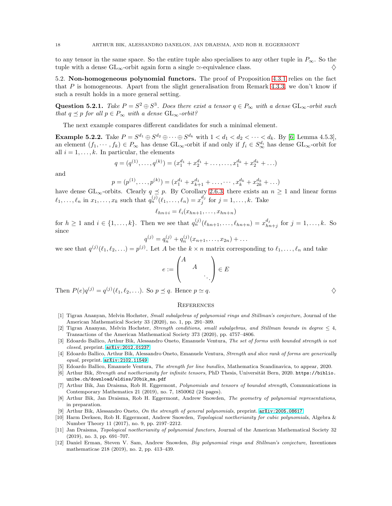to any tensor in the same space. So the entire tuple also specialises to any other tuple in  $P_{\infty}$ . So the tuple with a dense  $GL_{\infty}$ -orbit again form a single  $\simeq$ -equivalence class.  $\diamondsuit$ 

5.2. Non-homogeneous polynomial functors. The proof of Proposition [4.3.1](#page-13-1) relies on the fact that P is homogeneous. Apart from the slight generalisation from Remark [4.3.3,](#page-14-0) we don't know if such a result holds in a more general setting.

Question 5.2.1. Take  $P = S^2 \oplus S^3$ . Does there exist a tensor  $q \in P_{\infty}$  with a dense  $GL_{\infty}$ -orbit such that  $q \preceq p$  for all  $p \in P_{\infty}$  with a dense  $GL_{\infty}$ -orbit?

The next example compares different candidates for such a minimal element.

**Example 5.2.2.** Take  $P = S^{d_1} \oplus S^{d_2} \oplus \cdots \oplus S^{d_k}$  with  $1 < d_1 < d_2 < \cdots < d_k$ . By [\[6,](#page-17-9) Lemma 4.5.3], an element  $(f_1, \dots, f_k) \in P_\infty$  has dense  $\text{GL}_\infty$ -orbit if and only if  $f_i \in S_\infty^{d_i}$  has dense  $\text{GL}_\infty$ -orbit for all  $i = 1, \ldots, k$ . In particular, the elements

$$
q = (q^{(1)}, \dots, q^{(k)}) = (x_1^{d_1} + x_2^{d_1} + \dots, \dots, x_1^{d_k} + x_2^{d_k} + \dots)
$$

and

$$
p = (p^{(1)}, \dots, p^{(k)}) = (x_1^{d_1} + x_{k+1}^{d_1} + \dots, \dots, x_k^{d_k} + x_{2k}^{d_k} + \dots)
$$

have dense GL<sub>∞</sub>-orbits. Clearly  $q \leq p$ . By Corollary [2.6.3,](#page-6-0) there exists an  $n \geq 1$  and linear forms  $\ell_1, \ldots, \ell_n$  in  $x_1, \ldots, x_k$  such that  $q_n^{(j)}(\ell_1, \ldots, \ell_n) = x_j^{d_j}$  for  $j = 1, \ldots, k$ . Take

$$
\ell_{hn+i} = \ell_i(x_{hn+1},\ldots,x_{hn+n})
$$

for  $h \geq 1$  and  $i \in \{1, ..., k\}$ . Then we see that  $q_n^{(j)}(\ell_{hn+1}, \ldots, \ell_{hn+n}) = x_{hn}^{d_j}$  $\binom{a_j}{hn+j}$  for  $j = 1, \ldots, k$ . So since

$$
q^{(j)} = q_n^{(j)} + q_n^{(j)}(x_{n+1}, \dots, x_{2n}) + \dots
$$

we see that  $q^{(j)}(\ell_1, \ell_2, \ldots) = p^{(j)}$ . Let A be the  $k \times n$  matrix corresponding to  $\ell_1, \ldots, \ell_n$  and take

$$
e := \begin{pmatrix} A & & \\ & A & \\ & & \ddots \end{pmatrix} \in E
$$

Then  $P(e)q^{(j)} = q^{(j)}(\ell_1, \ell_2, \ldots)$ . So  $p \preceq q$ . Hence  $p \simeq q$ .

# **REFERENCES**

- <span id="page-17-0"></span>[1] Tigran Ananyan, Melvin Hochster, Small subalgebras of polynomial rings and Stillman's conjecture, Journal of the American Mathematical Society 33 (2020), no. 1, pp. 291–309.
- <span id="page-17-1"></span>[2] Tigran Ananyan, Melvin Hochster, Strength conditions, small subalgebras, and Stillman bounds in degree  $\leq 4$ , Transactions of the American Mathematical Society 373 (2020), pp. 4757–4806.
- <span id="page-17-3"></span>[3] Edoardo Ballico, Arthur Bik, Alessandro Oneto, Emanuele Ventura, The set of forms with bounded strength is not closed, preprint. [arXiv:2012.01237](http://arxiv.org/abs/2012.01237)
- <span id="page-17-4"></span>[4] Edoardo Ballico, Arthur Bik, Alessandro Oneto, Emanuele Ventura, Strength and slice rank of forms are generically  $equal$ , preprint.  $arXiv:2102.11549$
- <span id="page-17-9"></span><span id="page-17-5"></span>[5] Edoardo Ballico, Emanuele Ventura, The strength for line bundles, Mathematica Scandinavica, to appear, 2020.
- [6] Arthur Bik, Strength and noetherianity for infinite tensors, PhD Thesis, Universität Bern, 2020. https://biblio. unibe.ch/download/eldiss/20bik\_ma.pdf
- <span id="page-17-6"></span>[7] Arthur Bik, Jan Draisma, Rob H. Eggermont, Polynomials and tensors of bounded strength, Communications in Contemporary Mathematics 21 (2019), no. 7, 1850062 (24 pages).
- <span id="page-17-10"></span>[8] Arthur Bik, Jan Draisma, Rob H. Eggermont, Andrew Snowden, The geometry of polynomial representations, in preparation.
- <span id="page-17-8"></span><span id="page-17-7"></span>[9] Arthur Bik, Alessandro Oneto, On the strength of general polynomials, preprint. [arXiv:2005.08617](http://arxiv.org/abs/2005.08617)
- [10] Harm Derksen, Rob H. Eggermont, Andrew Snowden, Topological noetherianity for cubic polynomials, Algebra & Number Theory 11 (2017), no. 9, pp. 2197–2212.
- <span id="page-17-11"></span>[11] Jan Draisma, Topological noetherianity of polynomial functors, Journal of the American Mathematical Society 32 (2019), no. 3, pp. 691–707.
- <span id="page-17-2"></span>[12] Daniel Erman, Steven V. Sam, Andrew Snowden, Big polynomial rings and Stillman's conjecture, Inventiones mathematicae 218 (2019), no. 2, pp. 413–439.